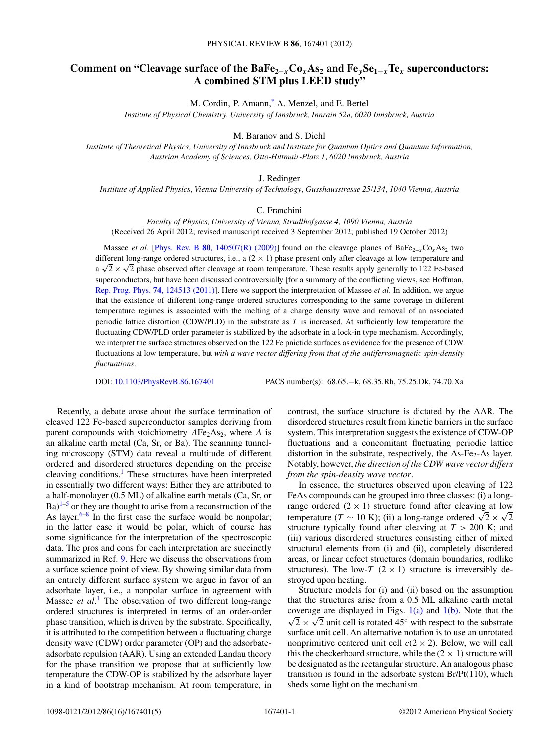# Comment on "Cleavage surface of the  $BaFe_{2-x}Co_xAs_2$  and  $Fe_ySe_{1-x}Te_x$  superconductors: **A combined STM plus LEED study"**

M. Cordin, P. Amann[,\\*](#page-4-0) A. Menzel, and E. Bertel

*Institute of Physical Chemistry, University of Innsbruck, Innrain 52a, 6020 Innsbruck, Austria*

M. Baranov and S. Diehl

*Institute of Theoretical Physics, University of Innsbruck and Institute for Quantum Optics and Quantum Information, Austrian Academy of Sciences, Otto-Hittmair-Platz 1, 6020 Innsbruck, Austria*

## J. Redinger

*Institute of Applied Physics, Vienna University of Technology, Gusshausstrasse 25/134, 1040 Vienna, Austria*

#### C. Franchini

*Faculty of Physics, University of Vienna, Strudlhofgasse 4, 1090 Vienna, Austria* (Received 26 April 2012; revised manuscript received 3 September 2012; published 19 October 2012)

Massee *et al.* [Phys. Rev. B 80[, 140507\(R\) \(2009\)\]](http://dx.doi.org/10.1103/PhysRevB.80.140507) found on the cleavage planes of BaFe<sub>2−*x*</sub>Co<sub>*x*</sub>As<sub>2</sub> two different long-range ordered structures, i.e., a  $(2 \times 1)$  phase present only after cleavage at low temperature and and  $\sqrt{2} \times \sqrt{2}$  phase observed after cleavage at room temperature. These results apply generally to 122 Fe-based superconductors, but have been discussed controversially [for a summary of the conflicting views, see Hoffman, [Rep. Prog. Phys.](http://dx.doi.org/10.1088/0034-4885/74/12/124513) **74**, 124513 (2011)]. Here we support the interpretation of Massee *et al.* In addition, we argue that the existence of different long-range ordered structures corresponding to the same coverage in different temperature regimes is associated with the melting of a charge density wave and removal of an associated periodic lattice distortion (CDW/PLD) in the substrate as *T* is increased. At sufficiently low temperature the fluctuating CDW/PLD order parameter is stabilized by the adsorbate in a lock-in type mechanism. Accordingly, we interpret the surface structures observed on the 122 Fe pnictide surfaces as evidence for the presence of CDW fluctuations at low temperature, but *with a wave vector differing from that of the antiferromagnetic spin-density fluctuations*.

DOI: [10.1103/PhysRevB.86.167401](http://dx.doi.org/10.1103/PhysRevB.86.167401) PACS number(s): 68*.*65*.*−k, 68*.*35*.*Rh, 75*.*25*.*Dk, 74*.*70*.*Xa

Recently, a debate arose about the surface termination of cleaved 122 Fe-based superconductor samples deriving from parent compounds with stoichiometry  $AFe<sub>2</sub>As<sub>2</sub>$ , where *A* is an alkaline earth metal (Ca, Sr, or Ba). The scanning tunneling microscopy (STM) data reveal a multitude of different ordered and disordered structures depending on the precise cleaving conditions.[1](#page-4-0) These structures have been interpreted in essentially two different ways: Either they are attributed to a half-monolayer (0.5 ML) of alkaline earth metals (Ca, Sr, or  $Ba)^{1-5}$  or they are thought to arise from a reconstruction of the As layer. $6-8$  In the first case the surface would be nonpolar; in the latter case it would be polar, which of course has some significance for the interpretation of the spectroscopic data. The pros and cons for each interpretation are succinctly summarized in Ref. [9.](#page-4-0) Here we discuss the observations from a surface science point of view. By showing similar data from an entirely different surface system we argue in favor of an adsorbate layer, i.e., a nonpolar surface in agreement with Massee *et al.*<sup>[1](#page-4-0)</sup> The observation of two different long-range ordered structures is interpreted in terms of an order-order phase transition, which is driven by the substrate. Specifically, it is attributed to the competition between a fluctuating charge density wave (CDW) order parameter (OP) and the adsorbateadsorbate repulsion (AAR). Using an extended Landau theory for the phase transition we propose that at sufficiently low temperature the CDW-OP is stabilized by the adsorbate layer in a kind of bootstrap mechanism. At room temperature, in contrast, the surface structure is dictated by the AAR. The disordered structures result from kinetic barriers in the surface system. This interpretation suggests the existence of CDW-OP fluctuations and a concomitant fluctuating periodic lattice distortion in the substrate, respectively, the  $As-Fe<sub>2</sub>-As$  layer. Notably, however, *the direction of the CDW wave vector differs from the spin-density wave vector*.

In essence, the structures observed upon cleaving of 122 FeAs compounds can be grouped into three classes: (i) a longrange ordered  $(2 \times 1)$  structure found after cleaving at low temperature (*T*  $\sim$  10 K); (ii) a long-range ordered  $\sqrt{2} \times \sqrt{2}$ structure typically found after cleaving at  $T > 200$  K; and (iii) various disordered structures consisting either of mixed structural elements from (i) and (ii), completely disordered areas, or linear defect structures (domain boundaries, rodlike structures). The low-*T*  $(2 \times 1)$  structure is irreversibly destroyed upon heating.

Structure models for (i) and (ii) based on the assumption that the structures arise from a 0.5 ML alkaline earth metal coverage are displayed in Figs.  $1(a)$  and  $1(b)$ . Note that the  $\sqrt{2} \times \sqrt{2}$  unit cell is rotated 45° with respect to the substrate surface unit cell. An alternative notation is to use an unrotated nonprimitive centered unit cell  $c(2 \times 2)$ . Below, we will call this the checkerboard structure, while the  $(2 \times 1)$  structure will be designated as the rectangular structure. An analogous phase transition is found in the adsorbate system Br/Pt(110), which sheds some light on the mechanism.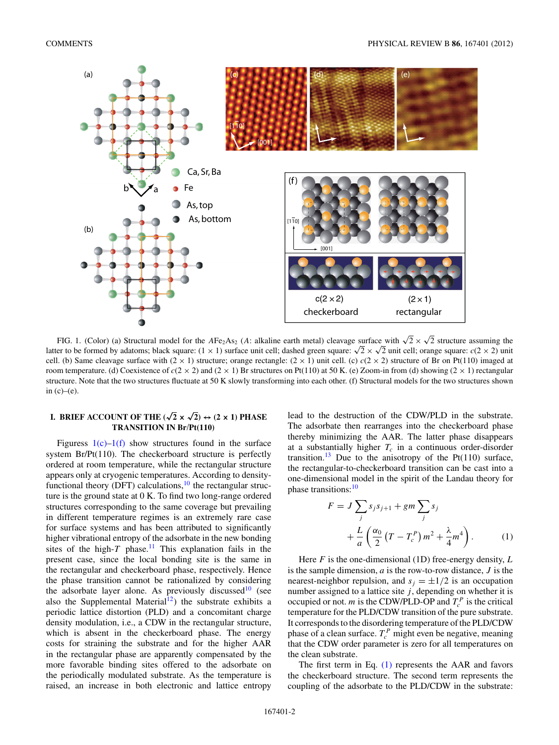<span id="page-1-0"></span>

FIG. 1. (Color) (a) Structural model for the *A*Fe<sub>2</sub>As<sub>2</sub> (*A*: alkaline earth metal) cleavage surface with  $\sqrt{2} \times \sqrt{2}$  structure assuming the latter to be formed by adatoms; black square:  $(1 \times 1)$  surface unit cell; dashed green square:  $\sqrt{2} \times \sqrt{2}$  unit cell; orange square:  $c(2 \times 2)$  unit cell. (b) Same cleavage surface with  $(2 \times 1)$  structure; orange rectangle:  $(2 \times 1)$  unit cell. (c)  $c(2 \times 2)$  structure of Br on Pt(110) imaged at room temperature. (d) Coexistence of  $c(2 \times 2)$  and  $(2 \times 1)$  Br structures on Pt(110) at 50 K. (e) Zoom-in from (d) showing  $(2 \times 1)$  rectangular structure. Note that the two structures fluctuate at 50 K slowly transforming into each other. (f) Structural models for the two structures shown in  $(c)$ – $(e)$ .

# **I. BRIEF ACCOUNT OF THE**  $(\sqrt{2} \times \sqrt{2}) \leftrightarrow (2 \times 1)$  **PHASE TRANSITION IN Br/Pt(110)**

Figuress  $1(c)-1(f)$  show structures found in the surface system Br/Pt(110). The checkerboard structure is perfectly ordered at room temperature, while the rectangular structure appears only at cryogenic temperatures. According to densityfunctional theory (DFT) calculations, $^{10}$  $^{10}$  $^{10}$  the rectangular structure is the ground state at 0 K. To find two long-range ordered structures corresponding to the same coverage but prevailing in different temperature regimes is an extremely rare case for surface systems and has been attributed to significantly higher vibrational entropy of the adsorbate in the new bonding sites of the high- $T$  phase.<sup>[11](#page-4-0)</sup> This explanation fails in the present case, since the local bonding site is the same in the rectangular and checkerboard phase, respectively. Hence the phase transition cannot be rationalized by considering the adsorbate layer alone. As previously discussed<sup>10</sup> (see also the Supplemental Material<sup>12</sup>) the substrate exhibits a periodic lattice distortion (PLD) and a concomitant charge density modulation, i.e., a CDW in the rectangular structure, which is absent in the checkerboard phase. The energy costs for straining the substrate and for the higher AAR in the rectangular phase are apparently compensated by the more favorable binding sites offered to the adsorbate on the periodically modulated substrate. As the temperature is raised, an increase in both electronic and lattice entropy lead to the destruction of the CDW/PLD in the substrate. The adsorbate then rearranges into the checkerboard phase thereby minimizing the AAR. The latter phase disappears at a substantially higher  $T_c$  in a continuous order-disorder transition.<sup>[13](#page-4-0)</sup> Due to the anisotropy of the Pt(110) surface, the rectangular-to-checkerboard transition can be cast into a one-dimensional model in the spirit of the Landau theory for phase transitions:<sup>[10](#page-4-0)</sup>

$$
F = J \sum_{j} s_j s_{j+1} + gm \sum_{j} s_j
$$
  
+ 
$$
\frac{L}{a} \left( \frac{\alpha_0}{2} \left( T - T_c^P \right) m^2 + \frac{\lambda}{4} m^4 \right).
$$
 (1)

Here *F* is the one-dimensional (1D) free-energy density, *L* is the sample dimension, *a* is the row-to-row distance, *J* is the nearest-neighbor repulsion, and  $s_j = \pm 1/2$  is an occupation number assigned to a lattice site  $j$ , depending on whether it is occupied or not. *m* is the CDW/PLD-OP and  $T_c^P$  is the critical temperature for the PLD/CDW transition of the pure substrate. It corresponds to the disordering temperature of the PLD/CDW phase of a clean surface.  $T_c^P$  might even be negative, meaning that the CDW order parameter is zero for all temperatures on the clean substrate.

The first term in Eq. (1) represents the AAR and favors the checkerboard structure. The second term represents the coupling of the adsorbate to the PLD/CDW in the substrate: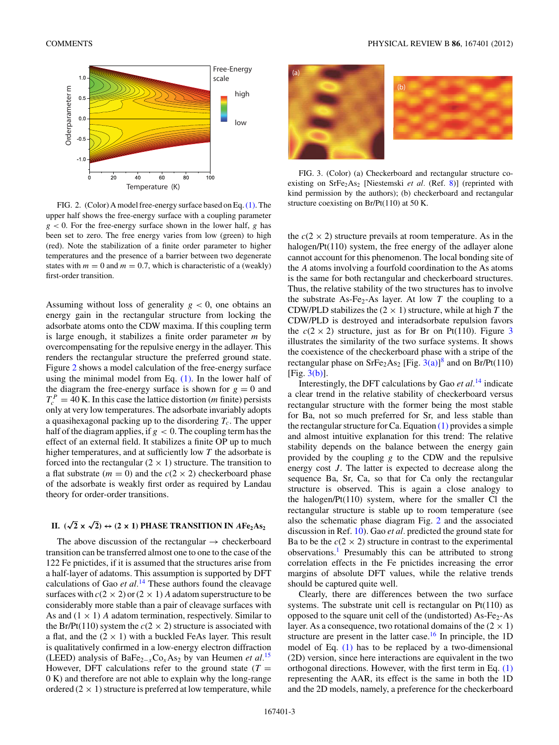<span id="page-2-0"></span>

FIG. 2. (Color) A model free-energy surface based on Eq.[\(1\).](#page-1-0) The upper half shows the free-energy surface with a coupling parameter *g <* 0. For the free-energy surface shown in the lower half, *g* has been set to zero. The free energy varies from low (green) to high (red). Note the stabilization of a finite order parameter to higher temperatures and the presence of a barrier between two degenerate states with  $m = 0$  and  $m = 0.7$ , which is characteristic of a (weakly) first-order transition.

Assuming without loss of generality  $g < 0$ , one obtains an energy gain in the rectangular structure from locking the adsorbate atoms onto the CDW maxima. If this coupling term is large enough, it stabilizes a finite order parameter *m* by overcompensating for the repulsive energy in the adlayer. This renders the rectangular structure the preferred ground state. Figure 2 shows a model calculation of the free-energy surface using the minimal model from Eq.  $(1)$ . In the lower half of the diagram the free-energy surface is shown for  $g = 0$  and  $T_c^P = 40$  K. In this case the lattice distortion (*m* finite) persists only at very low temperatures. The adsorbate invariably adopts a quasihexagonal packing up to the disordering *Tc*. The upper half of the diagram applies, if *g <* 0. The coupling term has the effect of an external field. It stabilizes a finite OP up to much higher temperatures, and at sufficiently low *T* the adsorbate is forced into the rectangular  $(2 \times 1)$  structure. The transition to a flat substrate ( $m = 0$ ) and the  $c(2 \times 2)$  checkerboard phase of the adsorbate is weakly first order as required by Landau theory for order-order transitions.

# **II.**  $(\sqrt{2} \times \sqrt{2}) \leftrightarrow (2 \times 1)$  **PHASE TRANSITION IN**  $AFe_2As_2$

The above discussion of the rectangular  $\rightarrow$  checkerboard transition can be transferred almost one to one to the case of the 122 Fe pnictides, if it is assumed that the structures arise from a half-layer of adatoms. This assumption is supported by DFT calculations of Gao *et al.*[14](#page-4-0) These authors found the cleavage surfaces with  $c(2 \times 2)$  or  $(2 \times 1)$  *A* adatom superstructure to be considerably more stable than a pair of cleavage surfaces with As and  $(1 \times 1)$  *A* adatom termination, respectively. Similar to the Br/Pt(110) system the  $c(2 \times 2)$  structure is associated with a flat, and the  $(2 \times 1)$  with a buckled FeAs layer. This result is qualitatively confirmed in a low-energy electron diffraction (LEED) analysis of BaFe2−*<sup>x</sup>*Co*x*As2 by van Heumen *et al.*[15](#page-4-0) However, DFT calculations refer to the ground state  $(T =$ 0 K) and therefore are not able to explain why the long-range ordered  $(2 \times 1)$  structure is preferred at low temperature, while



FIG. 3. (Color) (a) Checkerboard and rectangular structure coexisting on  $\text{SrFe}_2\text{As}_2$  [Niestemski *et al.* (Ref. [8\)](#page-4-0)] (reprinted with kind permission by the authors); (b) checkerboard and rectangular structure coexisting on Br/Pt(110) at 50 K.

the  $c(2 \times 2)$  structure prevails at room temperature. As in the halogen/ $Pt(110)$  system, the free energy of the adlayer alone cannot account for this phenomenon. The local bonding site of the *A* atoms involving a fourfold coordination to the As atoms is the same for both rectangular and checkerboard structures. Thus, the relative stability of the two structures has to involve the substrate As-Fe<sub>2</sub>-As layer. At low  $T$  the coupling to a CDW/PLD stabilizes the  $(2 \times 1)$  structure, while at high *T* the CDW/PLD is destroyed and interadsorbate repulsion favors the  $c(2 \times 2)$  structure, just as for Br on Pt(110). Figure 3 illustrates the similarity of the two surface systems. It shows the coexistence of the checkerboard phase with a stripe of the rectangular phase on SrFe<sub>2</sub>As<sub>2</sub> [Fig. 3(a)]<sup>[8](#page-4-0)</sup> and on Br/Pt(110) [Fig. 3(b)].

Interestingly, the DFT calculations by Gao *et al.*[14](#page-4-0) indicate a clear trend in the relative stability of checkerboard versus rectangular structure with the former being the most stable for Ba, not so much preferred for Sr, and less stable than the rectangular structure for Ca. Equation  $(1)$  provides a simple and almost intuitive explanation for this trend: The relative stability depends on the balance between the energy gain provided by the coupling *g* to the CDW and the repulsive energy cost *J*. The latter is expected to decrease along the sequence Ba, Sr, Ca, so that for Ca only the rectangular structure is observed. This is again a close analogy to the halogen/Pt(110) system, where for the smaller Cl the rectangular structure is stable up to room temperature (see also the schematic phase diagram Fig. 2 and the associated discussion in Ref. [10\)](#page-4-0). Gao *et al.* predicted the ground state for Ba to be the  $c(2 \times 2)$  structure in contrast to the experimental observations[.1](#page-4-0) Presumably this can be attributed to strong correlation effects in the Fe pnictides increasing the error margins of absolute DFT values, while the relative trends should be captured quite well.

Clearly, there are differences between the two surface systems. The substrate unit cell is rectangular on Pt(110) as opposed to the square unit cell of the (undistorted)  $As-Fe<sub>2</sub>-As$ layer. As a consequence, two rotational domains of the  $(2 \times 1)$ structure are present in the latter case.<sup>[16](#page-4-0)</sup> In principle, the 1D model of Eq.  $(1)$  has to be replaced by a two-dimensional (2D) version, since here interactions are equivalent in the two orthogonal directions. However, with the first term in Eq. [\(1\)](#page-1-0) representing the AAR, its effect is the same in both the 1D and the 2D models, namely, a preference for the checkerboard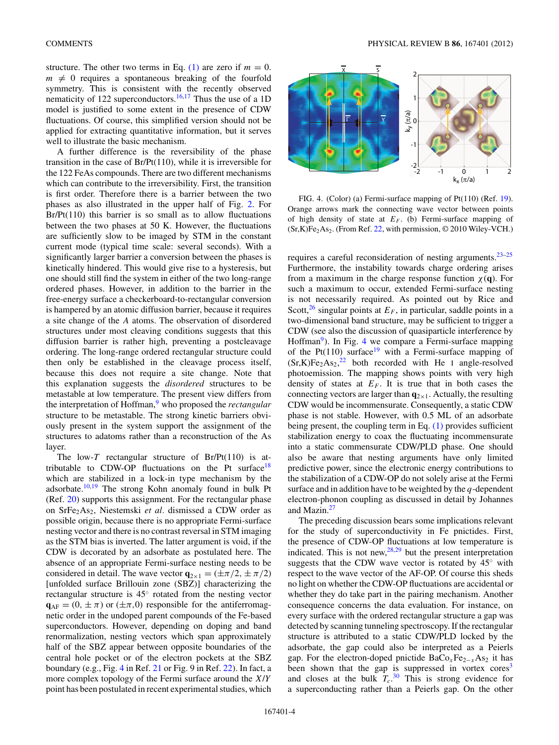<span id="page-3-0"></span>structure. The other two terms in Eq. [\(1\)](#page-1-0) are zero if  $m = 0$ .  $m \neq 0$  requires a spontaneous breaking of the fourfold symmetry. This is consistent with the recently observed nematicity of 122 superconductors.<sup>[16,17](#page-4-0)</sup> Thus the use of a 1D model is justified to some extent in the presence of CDW fluctuations. Of course, this simplified version should not be applied for extracting quantitative information, but it serves well to illustrate the basic mechanism.

A further difference is the reversibility of the phase transition in the case of  $Br/Pt(110)$ , while it is irreversible for the 122 FeAs compounds. There are two different mechanisms which can contribute to the irreversibility. First, the transition is first order. Therefore there is a barrier between the two phases as also illustrated in the upper half of Fig. [2.](#page-2-0) For  $Br/Pt(110)$  this barrier is so small as to allow fluctuations between the two phases at 50 K. However, the fluctuations are sufficiently slow to be imaged by STM in the constant current mode (typical time scale: several seconds). With a significantly larger barrier a conversion between the phases is kinetically hindered. This would give rise to a hysteresis, but one should still find the system in either of the two long-range ordered phases. However, in addition to the barrier in the free-energy surface a checkerboard-to-rectangular conversion is hampered by an atomic diffusion barrier, because it requires a site change of the *A* atoms. The observation of disordered structures under most cleaving conditions suggests that this diffusion barrier is rather high, preventing a postcleavage ordering. The long-range ordered rectangular structure could then only be established in the cleavage process itself, because this does not require a site change. Note that this explanation suggests the *disordered* structures to be metastable at low temperature. The present view differs from the interpretation of Hoffman,<sup>9</sup> who proposed the *rectangular* structure to be metastable. The strong kinetic barriers obviously present in the system support the assignment of the structures to adatoms rather than a reconstruction of the As layer.

The low-*T* rectangular structure of Br/Pt(110) is attributable to CDW-OP fluctuations on the Pt surface<sup>18</sup> which are stabilized in a lock-in type mechanism by the adsorbate.<sup>[10,19](#page-4-0)</sup> The strong Kohn anomaly found in bulk Pt (Ref. [20\)](#page-4-0) supports this assignment. For the rectangular phase on SrFe2As2, Niestemski *et al.* dismissed a CDW order as possible origin, because there is no appropriate Fermi-surface nesting vector and there is no contrast reversal in STM imaging as the STM bias is inverted. The latter argument is void, if the CDW is decorated by an adsorbate as postulated here. The absence of an appropriate Fermi-surface nesting needs to be considered in detail. The wave vector  $\mathbf{q}_{2\times1} = (\pm \pi/2, \pm \pi/2)$ [unfolded surface Brillouin zone (SBZ)] characterizing the rectangular structure is 45◦ rotated from the nesting vector  $\mathbf{q}_{AF} = (0, \pm \pi)$  or  $(\pm \pi, 0)$  responsible for the antiferromagnetic order in the undoped parent compounds of the Fe-based superconductors. However, depending on doping and band renormalization, nesting vectors which span approximately half of the SBZ appear between opposite boundaries of the central hole pocket or of the electron pockets at the SBZ boundary (e.g., Fig. 4 in Ref. [21](#page-4-0) or Fig. 9 in Ref. [22\)](#page-4-0). In fact, a more complex topology of the Fermi surface around the *X*/*Y* point has been postulated in recent experimental studies, which



FIG. 4. (Color) (a) Fermi-surface mapping of Pt(110) (Ref. [19\)](#page-4-0). Orange arrows mark the connecting wave vector between points of high density of state at  $E_F$ . (b) Fermi-surface mapping of  $(Sr,K)Fe<sub>2</sub>As<sub>2</sub>$ . (From Ref. [22,](#page-4-0) with permission, © 2010 Wiley-VCH.)

requires a careful reconsideration of nesting arguments[.23–25](#page-4-0) Furthermore, the instability towards charge ordering arises from a maximum in the charge response function  $\chi(\mathbf{q})$ . For such a maximum to occur, extended Fermi-surface nesting is not necessarily required. As pointed out by Rice and Scott,<sup>26</sup> singular points at  $E_F$ , in particular, saddle points in a two-dimensional band structure, may be sufficient to trigger a CDW (see also the discussion of quasiparticle interference by Hoffman<sup>9</sup>). In Fig. 4 we compare a Fermi-surface mapping of the Pt(110) surface<sup>19</sup> with a Fermi-surface mapping of  $(Sr, K)Fe<sub>2</sub>As<sub>2</sub>,<sup>22</sup>$  $(Sr, K)Fe<sub>2</sub>As<sub>2</sub>,<sup>22</sup>$  $(Sr, K)Fe<sub>2</sub>As<sub>2</sub>,<sup>22</sup>$  both recorded with He I angle-resolved photoemission. The mapping shows points with very high density of states at  $E_F$ . It is true that in both cases the connecting vectors are larger than  $q_{2\times 1}$ . Actually, the resulting CDW would be incommensurate. Consequently, a static CDW phase is not stable. However, with 0.5 ML of an adsorbate being present, the coupling term in Eq. [\(1\)](#page-1-0) provides sufficient stabilization energy to coax the fluctuating incommensurate into a static commensurate CDW/PLD phase. One should also be aware that nesting arguments have only limited predictive power, since the electronic energy contributions to the stabilization of a CDW-OP do not solely arise at the Fermi surface and in addition have to be weighted by the *q*-dependent electron-phonon coupling as discussed in detail by Johannes and Mazin. $27$ 

The preceding discussion bears some implications relevant for the study of superconductivity in Fe pnictides. First, the presence of CDW-OP fluctuations at low temperature is indicated. This is not new,  $28.29$  but the present interpretation suggests that the CDW wave vector is rotated by  $45°$  with respect to the wave vector of the AF-OP. Of course this sheds no light on whether the CDW-OP fluctuations are accidental or whether they do take part in the pairing mechanism. Another consequence concerns the data evaluation. For instance, on every surface with the ordered rectangular structure a gap was detected by scanning tunneling spectroscopy. If the rectangular structure is attributed to a static CDW/PLD locked by the adsorbate, the gap could also be interpreted as a Peierls gap. For the electron-doped pnictide  $BaCo<sub>x</sub>Fe<sub>2−*x*</sub>As<sub>2</sub>$  it has been shown that the gap is suppressed in vortex cores<sup>3</sup> and closes at the bulk  $T_c$ .<sup>[30](#page-4-0)</sup> This is strong evidence for a superconducting rather than a Peierls gap. On the other